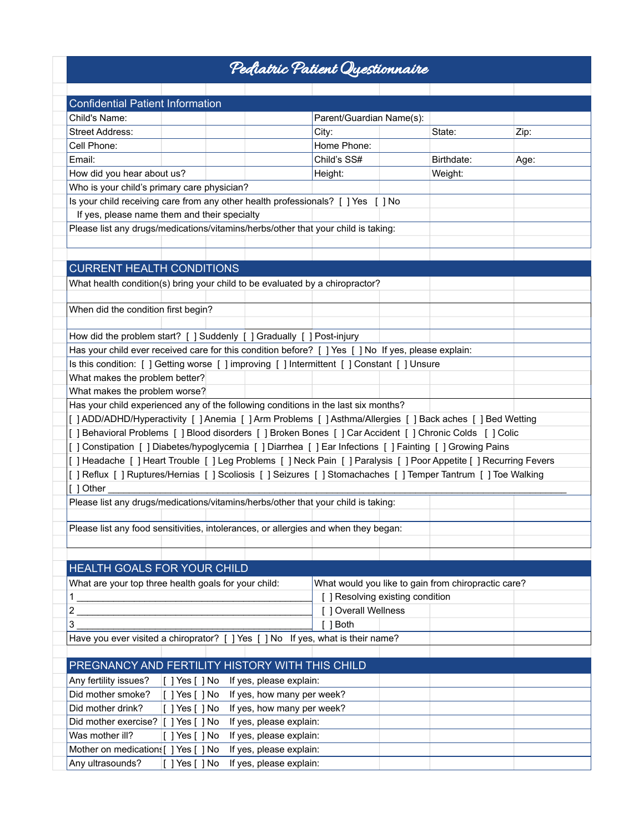## Pediatric Patient Questionnaire

| <b>Confidential Patient Information</b>                                                                     |                                              |  |                            |                                  |  |                                                     |      |  |  |
|-------------------------------------------------------------------------------------------------------------|----------------------------------------------|--|----------------------------|----------------------------------|--|-----------------------------------------------------|------|--|--|
| Child's Name:                                                                                               |                                              |  |                            | Parent/Guardian Name(s):         |  |                                                     |      |  |  |
| <b>Street Address:</b>                                                                                      |                                              |  |                            | City:                            |  | State:                                              | Zip: |  |  |
| Cell Phone:                                                                                                 |                                              |  |                            | Home Phone:                      |  |                                                     |      |  |  |
| Email:                                                                                                      |                                              |  |                            | Child's SS#                      |  | Birthdate:                                          | Age: |  |  |
| How did you hear about us?                                                                                  |                                              |  |                            | Height:                          |  | Weight:                                             |      |  |  |
| Who is your child's primary care physician?                                                                 |                                              |  |                            |                                  |  |                                                     |      |  |  |
| Is your child receiving care from any other health professionals? [ ] Yes [ ] No                            |                                              |  |                            |                                  |  |                                                     |      |  |  |
|                                                                                                             | If yes, please name them and their specialty |  |                            |                                  |  |                                                     |      |  |  |
| Please list any drugs/medications/vitamins/herbs/other that your child is taking:                           |                                              |  |                            |                                  |  |                                                     |      |  |  |
|                                                                                                             |                                              |  |                            |                                  |  |                                                     |      |  |  |
|                                                                                                             |                                              |  |                            |                                  |  |                                                     |      |  |  |
| <b>CURRENT HEALTH CONDITIONS</b>                                                                            |                                              |  |                            |                                  |  |                                                     |      |  |  |
| What health condition(s) bring your child to be evaluated by a chiropractor?                                |                                              |  |                            |                                  |  |                                                     |      |  |  |
|                                                                                                             |                                              |  |                            |                                  |  |                                                     |      |  |  |
| When did the condition first begin?                                                                         |                                              |  |                            |                                  |  |                                                     |      |  |  |
|                                                                                                             |                                              |  |                            |                                  |  |                                                     |      |  |  |
| How did the problem start? [ ] Suddenly [ ] Gradually [ ] Post-injury                                       |                                              |  |                            |                                  |  |                                                     |      |  |  |
| Has your child ever received care for this condition before? [ ] Yes [ ] No If yes, please explain:         |                                              |  |                            |                                  |  |                                                     |      |  |  |
| Is this condition: [] Getting worse [] improving [] Intermittent [] Constant [] Unsure                      |                                              |  |                            |                                  |  |                                                     |      |  |  |
| What makes the problem better?                                                                              |                                              |  |                            |                                  |  |                                                     |      |  |  |
| What makes the problem worse?                                                                               |                                              |  |                            |                                  |  |                                                     |      |  |  |
| Has your child experienced any of the following conditions in the last six months?                          |                                              |  |                            |                                  |  |                                                     |      |  |  |
| [] ADD/ADHD/Hyperactivity [] Anemia [] Arm Problems [] Asthma/Allergies [] Back aches [] Bed Wetting        |                                              |  |                            |                                  |  |                                                     |      |  |  |
| [ ] Behavioral Problems [ ] Blood disorders [ ] Broken Bones [ ] Car Accident [ ] Chronic Colds [ ] Colic   |                                              |  |                            |                                  |  |                                                     |      |  |  |
| [] Constipation [] Diabetes/hypoglycemia [] Diarrhea [] Ear Infections [] Fainting [] Growing Pains         |                                              |  |                            |                                  |  |                                                     |      |  |  |
| [] Headache [] Heart Trouble [] Leg Problems [] Neck Pain [] Paralysis [] Poor Appetite [] Recurring Fevers |                                              |  |                            |                                  |  |                                                     |      |  |  |
| [] Reflux [] Ruptures/Hernias [] Scoliosis [] Seizures [] Stomachaches [] Temper Tantrum [] Toe Walking     |                                              |  |                            |                                  |  |                                                     |      |  |  |
| [ ] Other                                                                                                   |                                              |  |                            |                                  |  |                                                     |      |  |  |
| Please list any drugs/medications/vitamins/herbs/other that your child is taking:                           |                                              |  |                            |                                  |  |                                                     |      |  |  |
|                                                                                                             |                                              |  |                            |                                  |  |                                                     |      |  |  |
| Please list any food sensitivities, intolerances, or allergies and when they began:                         |                                              |  |                            |                                  |  |                                                     |      |  |  |
|                                                                                                             |                                              |  |                            |                                  |  |                                                     |      |  |  |
|                                                                                                             |                                              |  |                            |                                  |  |                                                     |      |  |  |
| HEALTH GOALS FOR YOUR CHILD                                                                                 |                                              |  |                            |                                  |  |                                                     |      |  |  |
| What are your top three health goals for your child:                                                        |                                              |  |                            |                                  |  | What would you like to gain from chiropractic care? |      |  |  |
| 1.                                                                                                          |                                              |  |                            | [ ] Resolving existing condition |  |                                                     |      |  |  |
| 2                                                                                                           |                                              |  |                            | [ ] Overall Wellness             |  |                                                     |      |  |  |
| 3                                                                                                           |                                              |  |                            | [ ] Both                         |  |                                                     |      |  |  |
| Have you ever visited a chiroprator? [ ] Yes [ ] No If yes, what is their name?                             |                                              |  |                            |                                  |  |                                                     |      |  |  |
|                                                                                                             |                                              |  |                            |                                  |  |                                                     |      |  |  |
| PREGNANCY AND FERTILITY HISTORY WITH THIS CHILD                                                             |                                              |  |                            |                                  |  |                                                     |      |  |  |
| Any fertility issues?                                                                                       | $[ ]$ Yes $[ ]$ No                           |  | If yes, please explain:    |                                  |  |                                                     |      |  |  |
| Did mother smoke?                                                                                           | $[$ ] Yes $[$ ] No                           |  | If yes, how many per week? |                                  |  |                                                     |      |  |  |
| Did mother drink?                                                                                           | $[$ ] Yes $[$ ] No                           |  | If yes, how many per week? |                                  |  |                                                     |      |  |  |
| Did mother exercise? [ ] Yes [ ] No                                                                         |                                              |  | If yes, please explain:    |                                  |  |                                                     |      |  |  |
| Was mother ill?                                                                                             | [ ] Yes [ ] No                               |  | If yes, please explain:    |                                  |  |                                                     |      |  |  |
| Mother on medications [ ] Yes [ ] No                                                                        |                                              |  | If yes, please explain:    |                                  |  |                                                     |      |  |  |
| Any ultrasounds?                                                                                            | $[$ ] Yes $[$ ] No                           |  | If yes, please explain:    |                                  |  |                                                     |      |  |  |